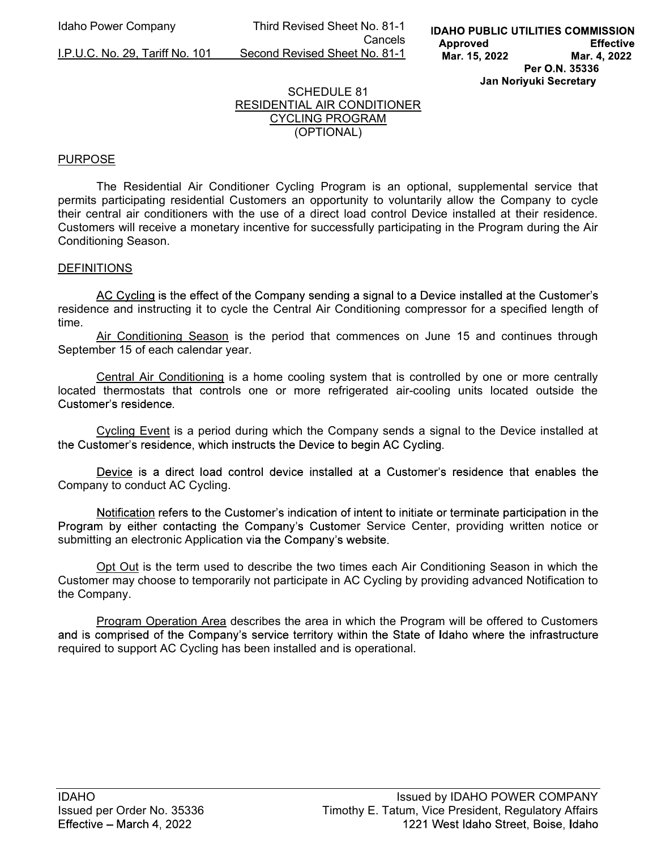Idaho Power Company Third Revised Sheet No. 81-1 **Cancels Cancels** I.P.U.C. No. 29, Tariff No. 101 Second Revised Sheet No. 81-1

## SCHEDULE 81 RESIDENTIAL AIR CONDITIONER CYCLING PROGRAM (OPTIONAL)

## **PURPOSE**

The Residential Air Conditioner Cycling Program is an optional, supplemental service that permits participating residential Customers an opportunity to voluntarily allow the Company to cycle their central air conditioners with the use of a direct load control Device installed at their residence. Customers will receive a monetary incentive for successfully participating in the Program during the Air Conditioning Season.

### DEFINITIONS

AC Cycling is the effect of the Company sending a signal to a Device installed at the Customer's residence and instructing it to cycle the Central Air Conditioning compressor for a specified length of time.

Air Conditioning Season is the period that commences on June 15 and continues through September 15 of each calendar year.

 Central Air Conditioning is a home cooling system that is controlled by one or more centrally located thermostats that controls one or more refrigerated air-cooling units located outside the Customer's residence

 Cycling Event is a period during which the Company sends a signal to the Device installed at the Customer's residence, which instructs the Device to begin AC Cycling.

Device is a direct load control device installed at a Customer's residence that enables the Company to conduct AC Cycling.

Notification refers to the Customer's indication of intent to initiate or terminate participation in the Program by either contacting the Company's Customer Service Center, providing written notice or submitting an electronic Application via the Company's website.

Opt Out is the term used to describe the two times each Air Conditioning Season in which the Customer may choose to temporarily not participate in AC Cycling by providing advanced Notification to the Company.

Program Operation Area describes the area in which the Program will be offered to Customers and is comprised of the Company's service territory within the State of Idaho where the infrastructure required to support AC Cycling has been installed and is operational.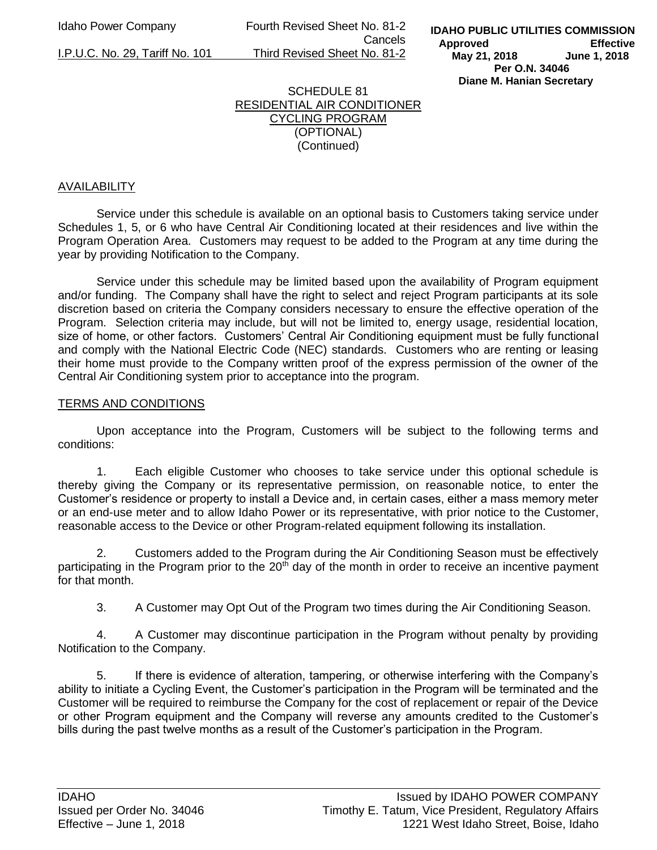Idaho Power Company Fourth Revised Sheet No. 81-2 Cancels I.P.U.C. No. 29, Tariff No. 101 Third Revised Sheet No. 81-2

### SCHEDULE 81 RESIDENTIAL AIR CONDITIONER CYCLING PROGRAM (OPTIONAL) (Continued)

# AVAILABILITY

Service under this schedule is available on an optional basis to Customers taking service under Schedules 1, 5, or 6 who have Central Air Conditioning located at their residences and live within the Program Operation Area. Customers may request to be added to the Program at any time during the year by providing Notification to the Company.

Service under this schedule may be limited based upon the availability of Program equipment and/or funding. The Company shall have the right to select and reject Program participants at its sole discretion based on criteria the Company considers necessary to ensure the effective operation of the Program. Selection criteria may include, but will not be limited to, energy usage, residential location, size of home, or other factors. Customers' Central Air Conditioning equipment must be fully functional and comply with the National Electric Code (NEC) standards. Customers who are renting or leasing their home must provide to the Company written proof of the express permission of the owner of the Central Air Conditioning system prior to acceptance into the program.

#### TERMS AND CONDITIONS

Upon acceptance into the Program, Customers will be subject to the following terms and conditions:

1. Each eligible Customer who chooses to take service under this optional schedule is thereby giving the Company or its representative permission, on reasonable notice, to enter the Customer's residence or property to install a Device and, in certain cases, either a mass memory meter or an end-use meter and to allow Idaho Power or its representative, with prior notice to the Customer, reasonable access to the Device or other Program-related equipment following its installation.

2. Customers added to the Program during the Air Conditioning Season must be effectively participating in the Program prior to the 20<sup>th</sup> day of the month in order to receive an incentive payment for that month.

3. A Customer may Opt Out of the Program two times during the Air Conditioning Season.

4. A Customer may discontinue participation in the Program without penalty by providing Notification to the Company.

5. If there is evidence of alteration, tampering, or otherwise interfering with the Company's ability to initiate a Cycling Event, the Customer's participation in the Program will be terminated and the Customer will be required to reimburse the Company for the cost of replacement or repair of the Device or other Program equipment and the Company will reverse any amounts credited to the Customer's bills during the past twelve months as a result of the Customer's participation in the Program.